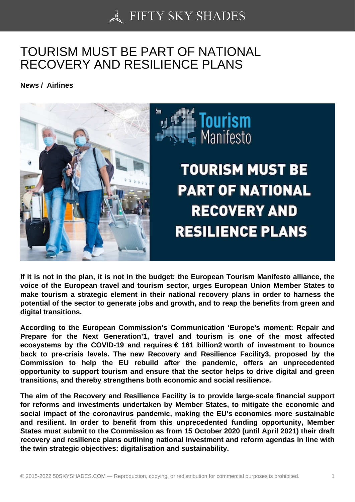## [TOURISM MUST BE P](https://50skyshades.com)ART OF NATIONAL RECOVERY AND RESILIENCE PLANS

News / Airlines

If it is not in the plan, it is not in the budget: the European Tourism Manifesto alliance, the voice of the European travel and tourism sector, urges European Union Member States to make tourism a strategic element in their national recovery plans in order to harness the potential of the sector to generate jobs and growth, and to reap the benefits from green and digital transitions.

According to the European Commission's Communication 'Europe's moment: Repair and Prepare for the Next Generation'1, travel and tourism is one of the most affected ecosystems by the COVID-19 and requires  $\epsilon$  161 billion2 worth of investment to bounce back to pre-crisis levels. The new Recovery and Resilience Facility3, proposed by the Commission to help the EU rebuild after the pandemic, offers an unprecedented opportunity to support tourism and ensure that the sector helps to drive digital and green transitions, and thereby strengthens both economic and social resilience.

The aim of the Recovery and Resilience Facility is to provide large-scale financial support for reforms and investments undertaken by Member States, to mitigate the economic and social impact of the coronavirus pandemic, making the EU's economies more sustainable and resilient. In order to benefit from this unprecedented funding opportunity, Member States must submit to the Commission as from 15 October 2020 (until April 2021) their draft recovery and resilience plans outlining national investment and reform agendas in line with the twin strategic objectives: digitalisation and sustainability.